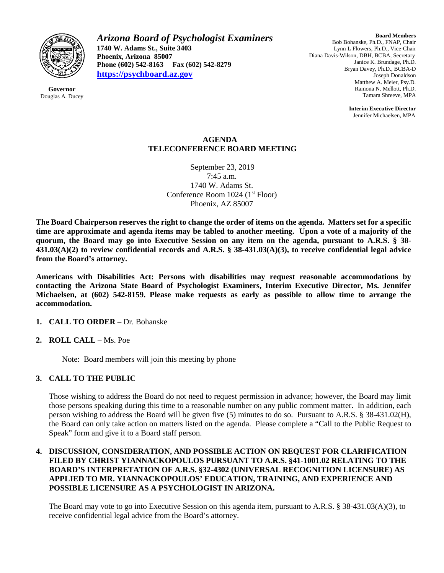

**Governor** Douglas A. Ducey *Arizona Board of Psychologist Examiners* **1740 W. Adams St., Suite 3403 Phoenix, Arizona 85007 Phone (602) 542-8163 Fax (602) 542-8279 [https://psychboard.az.gov](https://psychboard.az.gov/)**

**Board Members** Bob Bohanske, Ph.D., FNAP, Chair Lynn L Flowers, Ph.D., Vice-Chair Diana Davis-Wilson, DBH, BCBA, Secretary Janice K. Brundage, Ph.D. Bryan Davey, Ph.D., BCBA-D Joseph Donaldson Matthew A. Meier, Psy.D. Ramona N. Mellott, Ph.D. Tamara Shreeve, MPA

> **Interim Executive Director** Jennifer Michaelsen, MPA

## **AGENDA TELECONFERENCE BOARD MEETING**

September 23, 2019 7:45 a.m. 1740 W. Adams St. Conference Room 1024 (1<sup>st</sup> Floor) Phoenix, AZ 85007

**The Board Chairperson reserves the right to change the order of items on the agenda. Matters set for a specific time are approximate and agenda items may be tabled to another meeting. Upon a vote of a majority of the quorum, the Board may go into Executive Session on any item on the agenda, pursuant to A.R.S. § 38- 431.03(A)(2) to review confidential records and A.R.S. § 38-431.03(A)(3), to receive confidential legal advice from the Board's attorney.**

**Americans with Disabilities Act: Persons with disabilities may request reasonable accommodations by contacting the Arizona State Board of Psychologist Examiners, Interim Executive Director, Ms. Jennifer Michaelsen, at (602) 542-8159. Please make requests as early as possible to allow time to arrange the accommodation.**

## **1. CALL TO ORDER** – Dr. Bohanske

**2. ROLL CALL** – Ms. Poe

Note: Board members will join this meeting by phone

## **3. CALL TO THE PUBLIC**

Those wishing to address the Board do not need to request permission in advance; however, the Board may limit those persons speaking during this time to a reasonable number on any public comment matter. In addition, each person wishing to address the Board will be given five (5) minutes to do so. Pursuant to A.R.S. § 38-431.02(H), the Board can only take action on matters listed on the agenda. Please complete a "Call to the Public Request to Speak" form and give it to a Board staff person.

## **4. DISCUSSION, CONSIDERATION, AND POSSIBLE ACTION ON REQUEST FOR CLARIFICATION FILED BY CHRIST YIANNACKOPOULOS PURSUANT TO A.R.S. §41-1001.02 RELATING TO THE BOARD'S INTERPRETATION OF A.R.S. §32-4302 (UNIVERSAL RECOGNITION LICENSURE) AS APPLIED TO MR. YIANNACKOPOULOS' EDUCATION, TRAINING, AND EXPERIENCE AND POSSIBLE LICENSURE AS A PSYCHOLOGIST IN ARIZONA.**

The Board may vote to go into Executive Session on this agenda item, pursuant to A.R.S. § 38-431.03(A)(3), to receive confidential legal advice from the Board's attorney.